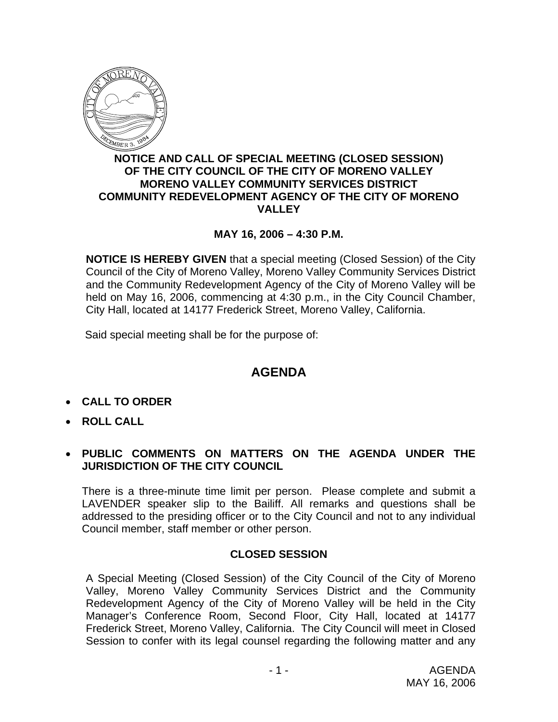

### **NOTICE AND CALL OF SPECIAL MEETING (CLOSED SESSION) OF THE CITY COUNCIL OF THE CITY OF MORENO VALLEY MORENO VALLEY COMMUNITY SERVICES DISTRICT COMMUNITY REDEVELOPMENT AGENCY OF THE CITY OF MORENO VALLEY**

# **MAY 16, 2006 – 4:30 P.M.**

**NOTICE IS HEREBY GIVEN** that a special meeting (Closed Session) of the City Council of the City of Moreno Valley, Moreno Valley Community Services District and the Community Redevelopment Agency of the City of Moreno Valley will be held on May 16, 2006, commencing at 4:30 p.m., in the City Council Chamber, City Hall, located at 14177 Frederick Street, Moreno Valley, California.

Said special meeting shall be for the purpose of:

# **AGENDA**

- **CALL TO ORDER**
- **ROLL CALL**

## • **PUBLIC COMMENTS ON MATTERS ON THE AGENDA UNDER THE JURISDICTION OF THE CITY COUNCIL**

There is a three-minute time limit per person. Please complete and submit a LAVENDER speaker slip to the Bailiff. All remarks and questions shall be addressed to the presiding officer or to the City Council and not to any individual Council member, staff member or other person.

### **CLOSED SESSION**

A Special Meeting (Closed Session) of the City Council of the City of Moreno Valley, Moreno Valley Community Services District and the Community Redevelopment Agency of the City of Moreno Valley will be held in the City Manager's Conference Room, Second Floor, City Hall, located at 14177 Frederick Street, Moreno Valley, California. The City Council will meet in Closed Session to confer with its legal counsel regarding the following matter and any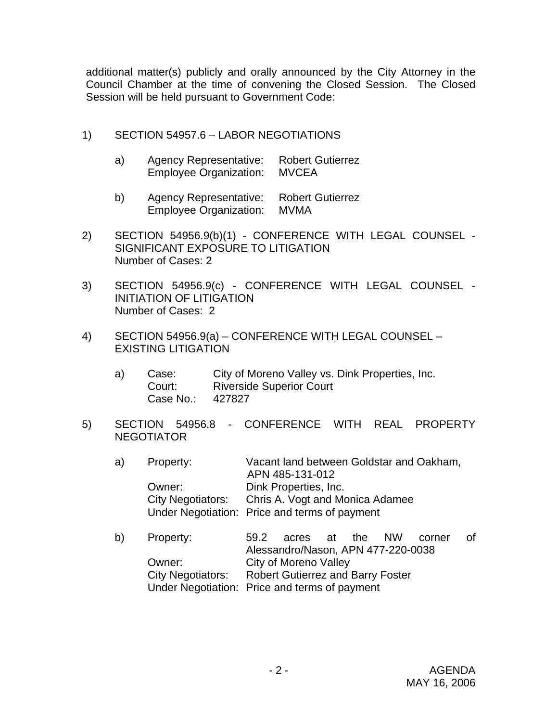additional matter(s) publicly and orally announced by the City Attorney in the Council Chamber at the time of convening the Closed Session. The Closed Session will be held pursuant to Government Code:

- 1) SECTION 54957.6 LABOR NEGOTIATIONS
	- a) Agency Representative: Robert Gutierrez Employee Organization: MVCEA
	- b) Agency Representative: Robert Gutierrez Employee Organization: MVMA
- 2) SECTION 54956.9(b)(1) CONFERENCE WITH LEGAL COUNSEL SIGNIFICANT EXPOSURE TO LITIGATION Number of Cases: 2
- 3) SECTION 54956.9(c) CONFERENCE WITH LEGAL COUNSEL INITIATION OF LITIGATION Number of Cases: 2
- 4) SECTION 54956.9(a) CONFERENCE WITH LEGAL COUNSEL EXISTING LITIGATION
	- a) Case: City of Moreno Valley vs. Dink Properties, Inc. Court: Riverside Superior Court Case No.: 427827
- 5) SECTION 54956.8 CONFERENCE WITH REAL PROPERTY NEGOTIATOR

| a) | Property:                | Vacant land between Goldstar and Oakham.      |
|----|--------------------------|-----------------------------------------------|
|    |                          | APN 485-131-012                               |
|    | Owner:                   | Dink Properties, Inc.                         |
|    | <b>City Negotiators:</b> | Chris A. Vogt and Monica Adamee               |
|    |                          | Under Negotiation: Price and terms of payment |

| b) | Property: |                                                     | 59.2 acres at the NW corner |  |  |  |  | of |  |  |
|----|-----------|-----------------------------------------------------|-----------------------------|--|--|--|--|----|--|--|
|    |           | Alessandro/Nason, APN 477-220-0038                  |                             |  |  |  |  |    |  |  |
|    | Owner:    | City of Moreno Valley                               |                             |  |  |  |  |    |  |  |
|    |           | City Negotiators: Robert Gutierrez and Barry Foster |                             |  |  |  |  |    |  |  |
|    |           | Under Negotiation: Price and terms of payment       |                             |  |  |  |  |    |  |  |